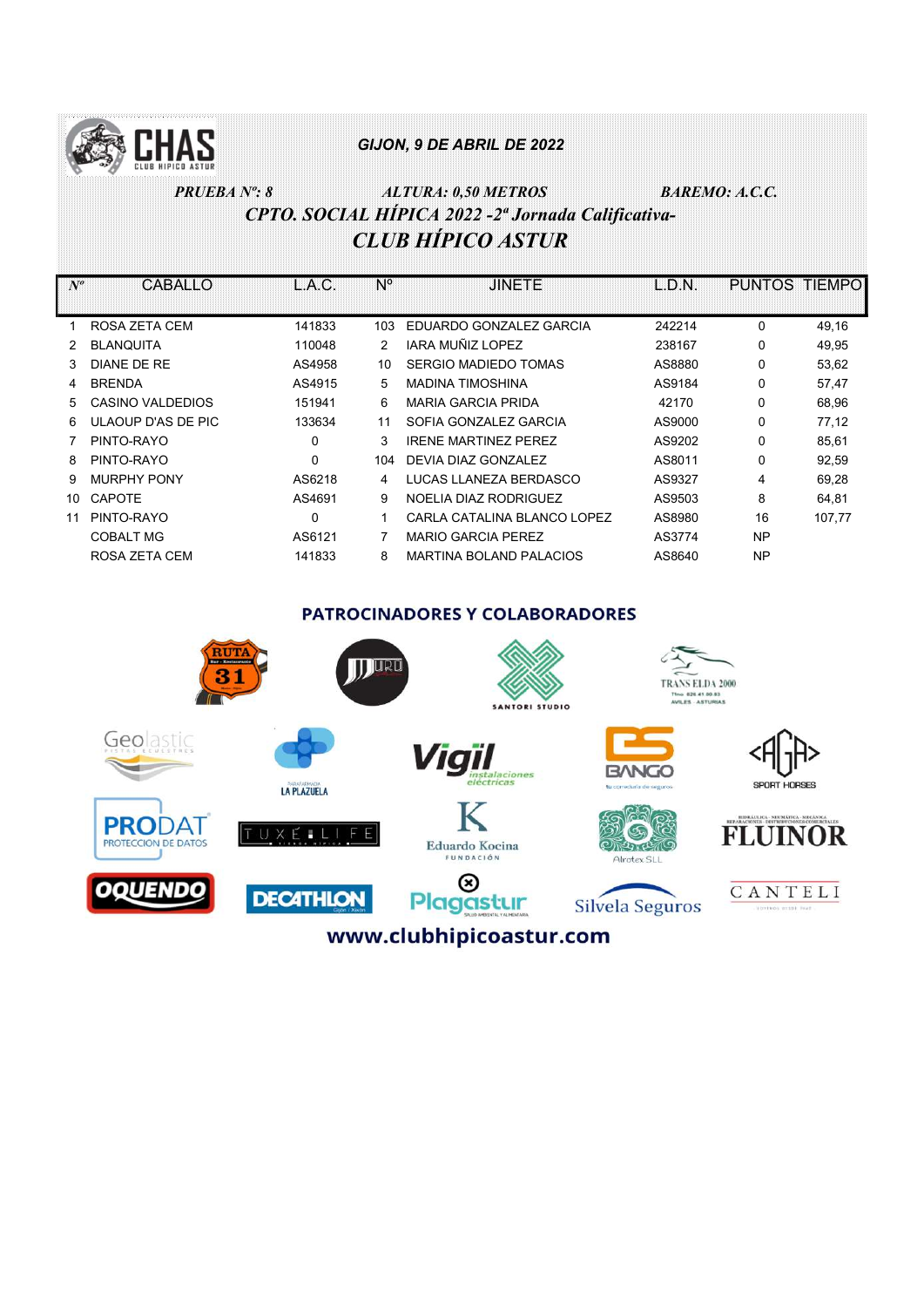

# PRUEBA Nº: 8 ALTURA: 0,50 METROS BAREMO: A.C.C. CPTO. SOCIAL HÍPICA 2022 -2ª Jornada Calificativa-CLUB HÍPICO ASTUR

| $N^o$ | CABALLO            | L.A.C.   | Ν°  | <b>JINETE</b>                  | L.D.N. | PUNTOS TIEMPO |        |
|-------|--------------------|----------|-----|--------------------------------|--------|---------------|--------|
|       |                    |          |     |                                |        |               |        |
|       | ROSA ZETA CEM      | 141833   | 103 | EDUARDO GONZALEZ GARCIA        | 242214 | $\Omega$      | 49,16  |
|       | <b>BLANQUITA</b>   | 110048   | 2   | IARA MUÑIZ LOPEZ               | 238167 | $\Omega$      | 49,95  |
| 3     | DIANE DE RE        | AS4958   | 10  | SERGIO MADIEDO TOMAS           | AS8880 | 0             | 53,62  |
| 4     | <b>BRENDA</b>      | AS4915   | 5   | <b>MADINA TIMOSHINA</b>        | AS9184 | 0             | 57,47  |
| 5.    | CASINO VALDEDIOS   | 151941   | 6   | <b>MARIA GARCIA PRIDA</b>      | 42170  | 0             | 68,96  |
| 6.    | ULAOUP D'AS DE PIC | 133634   | 11  | SOFIA GONZALEZ GARCIA          | AS9000 | 0             | 77,12  |
|       | PINTO-RAYO         | 0        | 3   | <b>IRENE MARTINEZ PEREZ</b>    | AS9202 | $\Omega$      | 85,61  |
| 8     | PINTO-RAYO         | 0        | 104 | DEVIA DIAZ GONZALEZ            | AS8011 | 0             | 92,59  |
| 9     | <b>MURPHY PONY</b> | AS6218   | 4   | LUCAS LLANEZA BERDASCO         | AS9327 | 4             | 69,28  |
| 10    | <b>CAPOTE</b>      | AS4691   | 9   | NOELIA DIAZ RODRIGUEZ          | AS9503 | 8             | 64,81  |
| 11    | PINTO-RAYO         | $\Omega$ | 1   | CARLA CATALINA BLANCO LOPEZ    | AS8980 | 16            | 107,77 |
|       | <b>COBALT MG</b>   | AS6121   |     | <b>MARIO GARCIA PEREZ</b>      | AS3774 | NP            |        |
|       | ROSA ZETA CEM      | 141833   | 8   | <b>MARTINA BOLAND PALACIOS</b> | AS8640 | NP            |        |

#### **PATROCINADORES Y COLABORADORES**

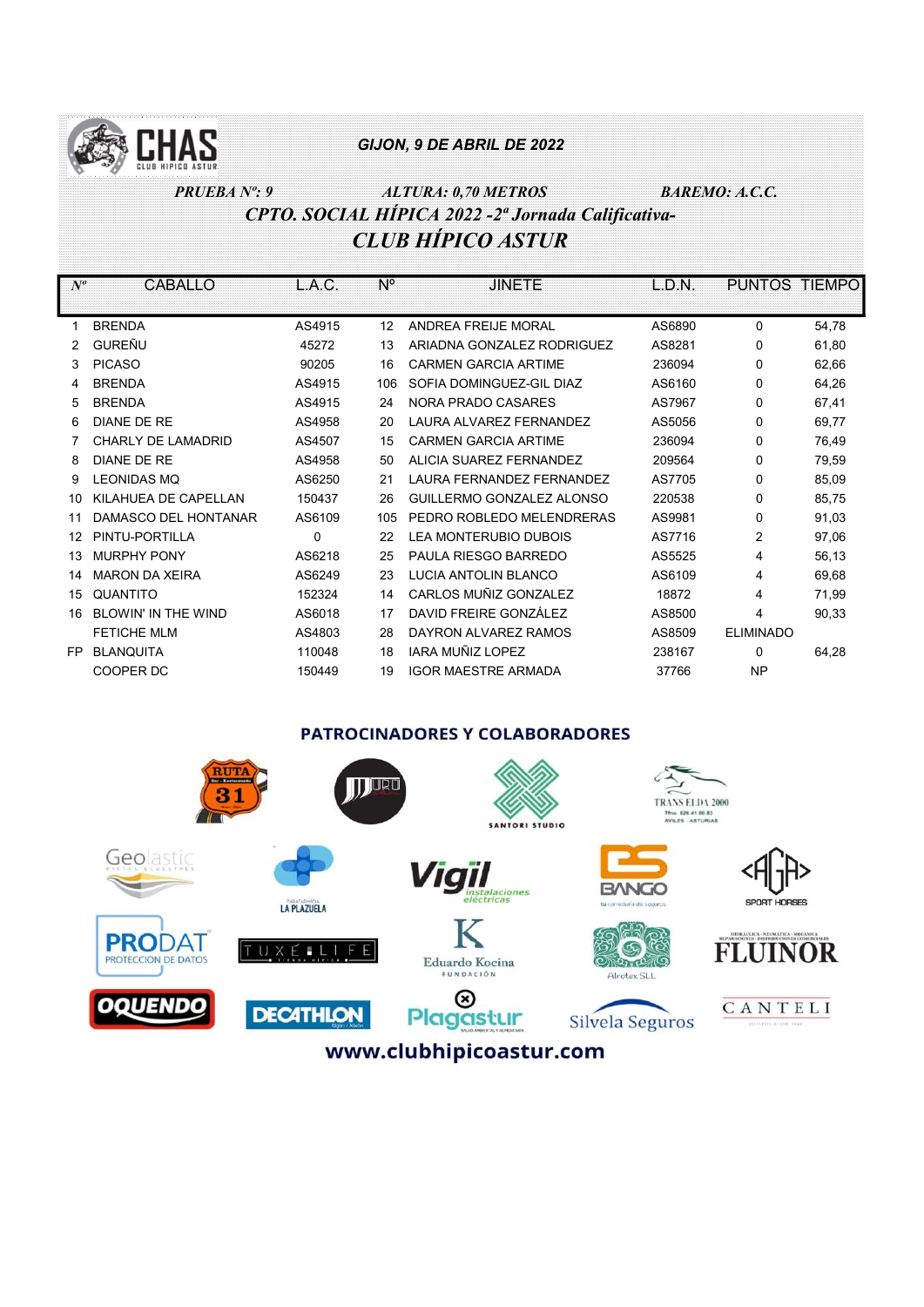

# PRUEBA Nº: 9 ALTURA: 0,70 METROS BAREMO: A.C.C. CPTO. SOCIAL HÍPICA 2022 -2ª Jornada Calificativa-CLUB HÍPICO ASTUR

| $N^o$ | <b>CABALLO</b>             | L.A.C. | N°                | <b>JINETE</b>                    | L.D.N. | <b>PUNTOS TIEMPO</b> |       |
|-------|----------------------------|--------|-------------------|----------------------------------|--------|----------------------|-------|
|       |                            |        |                   |                                  |        |                      |       |
|       | <b>BRENDA</b>              | AS4915 | $12 \overline{ }$ | ANDREA FREIJE MORAL              | AS6890 | 0                    | 54,78 |
|       | <b>GUREÑU</b>              | 45272  | 13                | ARIADNA GONZALEZ RODRIGUEZ       | AS8281 | 0                    | 61,80 |
| 3     | <b>PICASO</b>              | 90205  | 16                | <b>CARMEN GARCIA ARTIME</b>      | 236094 | 0                    | 62,66 |
| 4     | <b>BRENDA</b>              | AS4915 | 106               | SOFIA DOMINGUEZ-GIL DIAZ         | AS6160 | 0                    | 64,26 |
| 5     | <b>BRENDA</b>              | AS4915 | 24                | NORA PRADO CASARES               | AS7967 | 0                    | 67,41 |
| 6     | DIANE DE RE                | AS4958 | 20                | LAURA ALVAREZ FERNANDEZ          | AS5056 | 0                    | 69,77 |
|       | CHARLY DE LAMADRID         | AS4507 | 15                | <b>CARMEN GARCIA ARTIME</b>      | 236094 | 0                    | 76,49 |
| 8     | <b>DIANE DE RE</b>         | AS4958 | 50                | ALICIA SUAREZ FERNANDEZ          | 209564 | 0                    | 79,59 |
| 9     | <b>LEONIDAS MQ</b>         | AS6250 | 21                | <b>LAURA FERNANDEZ FERNANDEZ</b> | AS7705 | 0                    | 85,09 |
| 10    | KILAHUEA DE CAPELLAN       | 150437 | 26                | GUILLERMO GONZALEZ ALONSO        | 220538 | 0                    | 85,75 |
| 11    | DAMASCO DEL HONTANAR       | AS6109 | 105               | PEDRO ROBLEDO MELENDRERAS        | AS9981 | 0                    | 91,03 |
| 12    | PINTU-PORTILLA             | 0      | 22                | LEA MONTERUBIO DUBOIS            | AS7716 | 2                    | 97,06 |
| 13    | <b>MURPHY PONY</b>         | AS6218 | 25                | PAULA RIESGO BARREDO             | AS5525 | 4                    | 56,13 |
| 14    | <b>MARON DA XEIRA</b>      | AS6249 | 23                | LUCIA ANTOLIN BLANCO             | AS6109 | 4                    | 69,68 |
| 15    | QUANTITO                   | 152324 | 14                | CARLOS MUÑIZ GONZALEZ            | 18872  | 4                    | 71,99 |
| 16    | <b>BLOWIN' IN THE WIND</b> | AS6018 | 17                | DAVID FREIRE GONZÁLEZ            | AS8500 | 4                    | 90,33 |
|       | <b>FETICHE MLM</b>         | AS4803 | 28                | DAYRON ALVAREZ RAMOS             | AS8509 | <b>ELIMINADO</b>     |       |
| FP    | <b>BLANQUITA</b>           | 110048 | 18                | IARA MUÑIZ LOPEZ                 | 238167 | 0                    | 64,28 |
|       | COOPER DC                  | 150449 | 19                | <b>IGOR MAESTRE ARMADA</b>       | 37766  | <b>NP</b>            |       |

## **PATROCINADORES Y COLABORADORES**

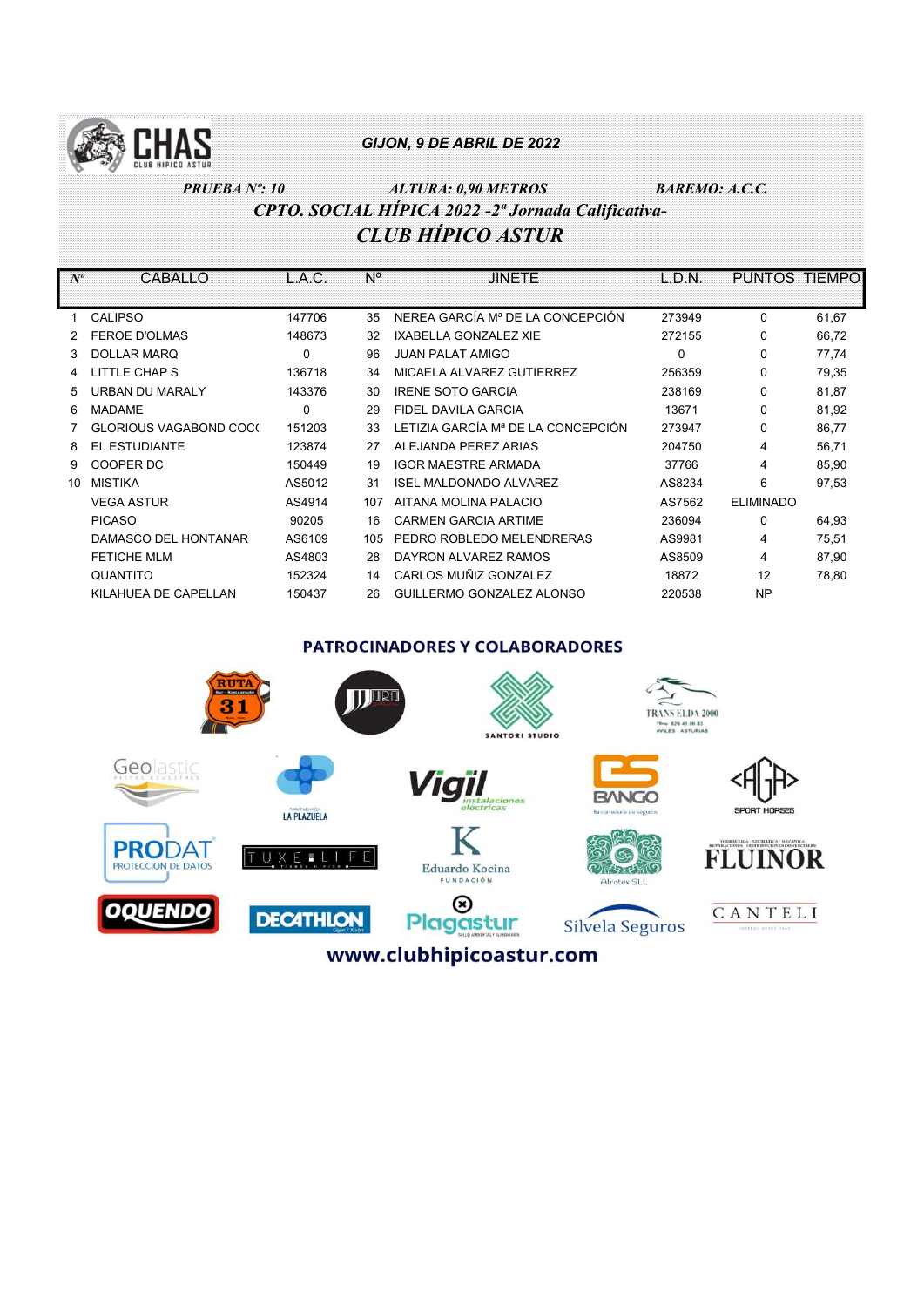

# PRUEBA Nº: 10 ALTURA: 0,90 METROS BAREMO: A.C.C. CPTO. SOCIAL HÍPICA 2022 -2ª Jornada Calificativa-CLUB HÍPICO ASTUR

| $N^o$           | CABALLO                       | L.A.C.      | N°  | <b>JINETE</b>                      | L.D.N.   | <b>PUNTOS</b>    | <b>TIEMPO</b> |
|-----------------|-------------------------------|-------------|-----|------------------------------------|----------|------------------|---------------|
|                 |                               |             |     |                                    |          |                  |               |
|                 | <b>CALIPSO</b>                | 147706      | 35  | NEREA GARCÍA Mª DE LA CONCEPCIÓN   | 273949   | $\Omega$         | 61,67         |
|                 | <b>FEROE D'OLMAS</b>          | 148673      | 32  | <b>IXABELLA GONZALEZ XIE</b>       | 272155   | $\Omega$         | 66,72         |
| 3               | <b>DOLLAR MARQ</b>            | $\mathbf 0$ | 96  | <b>JUAN PALAT AMIGO</b>            | $\Omega$ | $\Omega$         | 77,74         |
|                 | LITTLE CHAP S                 | 136718      | 34  | MICAELA ALVAREZ GUTIERREZ          | 256359   | $\Omega$         | 79,35         |
| 5               | <b>URBAN DU MARALY</b>        | 143376      | 30  | <b>IRENE SOTO GARCIA</b>           | 238169   | 0                | 81,87         |
| 6.              | <b>MADAME</b>                 | 0           | 29  | FIDEL DAVILA GARCIA                | 13671    | $\Omega$         | 81,92         |
|                 | <b>GLORIOUS VAGABOND COC(</b> | 151203      | 33  | LETIZIA GARCÍA Mª DE LA CONCEPCIÓN | 273947   | 0                | 86,77         |
| 8               | EL ESTUDIANTE                 | 123874      | 27  | ALEJANDA PEREZ ARIAS               | 204750   | 4                | 56,71         |
| 9               | COOPER DC                     | 150449      | 19  | <b>IGOR MAESTRE ARMADA</b>         | 37766    | 4                | 85,90         |
| 10 <sup>1</sup> | <b>MISTIKA</b>                | AS5012      | 31  | <b>ISEL MALDONADO ALVAREZ</b>      | AS8234   | 6                | 97,53         |
|                 | <b>VEGA ASTUR</b>             | AS4914      | 107 | AITANA MOLINA PALACIO              | AS7562   | <b>ELIMINADO</b> |               |
|                 | <b>PICASO</b>                 | 90205       | 16  | <b>CARMEN GARCIA ARTIME</b>        | 236094   | $\Omega$         | 64,93         |
|                 | DAMASCO DEL HONTANAR          | AS6109      | 105 | PEDRO ROBLEDO MELENDRERAS          | AS9981   | 4                | 75,51         |
|                 | <b>FETICHE MLM</b>            | AS4803      | 28  | DAYRON ALVAREZ RAMOS               | AS8509   | 4                | 87,90         |
|                 | QUANTITO                      | 152324      | 14  | CARLOS MUÑIZ GONZALEZ              | 18872    | 12               | 78,80         |
|                 | KILAHUEA DE CAPELLAN          | 150437      | 26  | GUILLERMO GONZALEZ ALONSO          | 220538   | <b>NP</b>        |               |

#### **PATROCINADORES Y COLABORADORES**

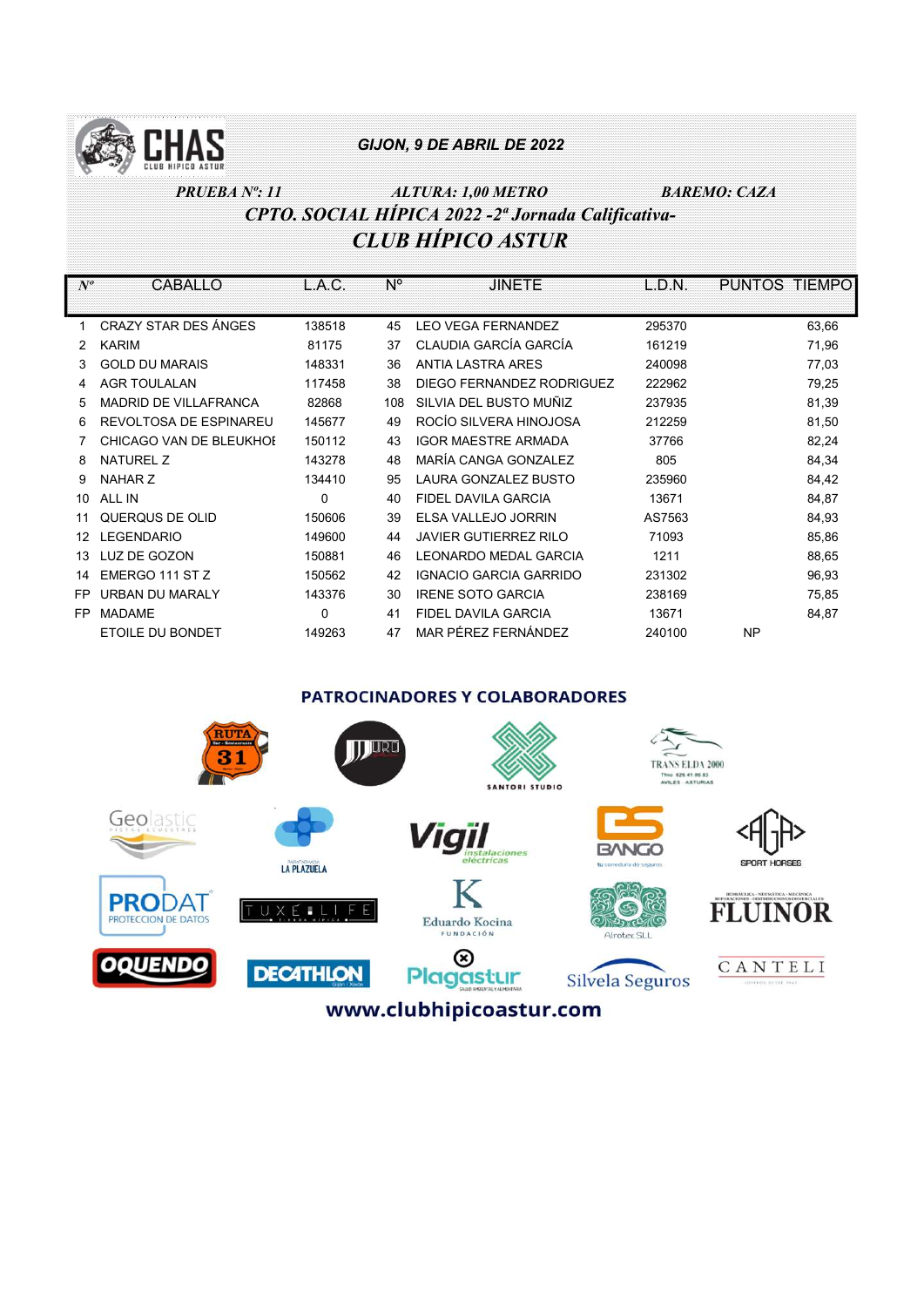

# PRUEBA Nº: 11  $ALTURA: 1,00 METRO$  BAREMO: CAZA CPTO. SOCIAL HÍPICA 2022 -2ª Jornada Calificativa-CLUB HÍPICO ASTUR

| $N^o$ | CABALLO                      | L.A.C.   | N°  | <b>JINETE</b>                 | L.D.N. | PUNTOS TIEMPO |
|-------|------------------------------|----------|-----|-------------------------------|--------|---------------|
| 1     | CRAZY STAR DES ÁNGES         | 138518   | 45  | <b>LEO VEGA FERNANDEZ</b>     | 295370 | 63,66         |
| 2     | <b>KARIM</b>                 | 81175    | 37  | CLAUDIA GARCÍA GARCÍA         | 161219 | 71,96         |
| 3.    | <b>GOLD DU MARAIS</b>        | 148331   | 36  | <b>ANTIA LASTRA ARES</b>      | 240098 | 77,03         |
|       | <b>AGR TOULALAN</b>          | 117458   | 38  | DIEGO FERNANDEZ RODRIGUEZ     | 222962 | 79,25         |
| 5     | <b>MADRID DE VILLAFRANCA</b> | 82868    | 108 | SILVIA DEL BUSTO MUÑIZ        | 237935 | 81,39         |
| 6     | REVOLTOSA DE ESPINAREU       | 145677   | 49  | ROCÍO SILVERA HINOJOSA        | 212259 | 81,50         |
|       | CHICAGO VAN DE BLEUKHOI      | 150112   | 43  | <b>IGOR MAESTRE ARMADA</b>    | 37766  | 82,24         |
| 8     | <b>NATUREL Z</b>             | 143278   | 48  | MARÍA CANGA GONZALEZ          | 805    | 84,34         |
| 9     | NAHAR Z                      | 134410   | 95  | LAURA GONZALEZ BUSTO          | 235960 | 84,42         |
| 10    | ALL IN                       | $\Omega$ | 40  | FIDEL DAVILA GARCIA           | 13671  | 84,87         |
|       | QUERQUS DE OLID              | 150606   | 39  | ELSA VALLEJO JORRIN           | AS7563 | 84,93         |
| 12    | <b>LEGENDARIO</b>            | 149600   | 44  | <b>JAVIER GUTIERREZ RILO</b>  | 71093  | 85,86         |
| 13    | LUZ DE GOZON                 | 150881   | 46  | I FONARDO MEDAL GARCIA        | 1211   | 88,65         |
| 14    | EMERGO 111 ST Z              | 150562   | 42  | <b>IGNACIO GARCIA GARRIDO</b> | 231302 | 96,93         |
| FP    | URBAN DU MARALY              | 143376   | 30  | <b>IRENE SOTO GARCIA</b>      | 238169 | 75,85         |
| FP    | <b>MADAME</b>                | $\Omega$ | 41  | FIDEL DAVILA GARCIA           | 13671  | 84,87         |
|       | ETOILE DU BONDET             | 149263   | 47  | MAR PÉREZ FERNÁNDEZ           | 240100 | <b>NP</b>     |
|       |                              |          |     |                               |        |               |

**PATROCINADORES Y COLABORADORES** 

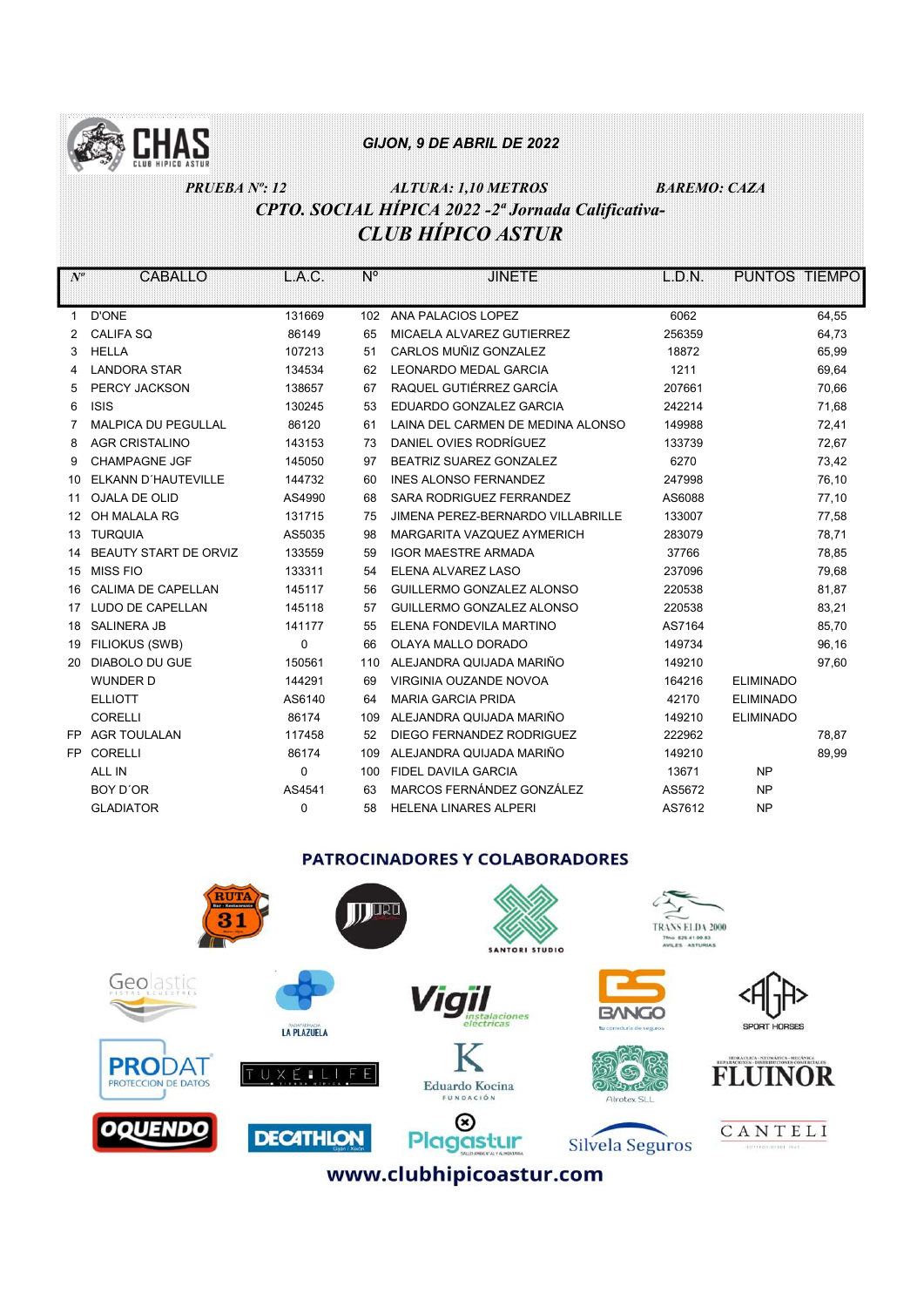

# PRUEBA Nº: 12 ALTURA: 1,10 METROS BAREMO: CAZA CPTO. SOCIAL HÍPICA 2022 -2ª Jornada Calificativa-CLUB HÍPICO ASTUR

| $N^o$ | CABALLO                    | L.A.C.      | N°  | <b>JINETE</b>                     | L.D.N. | <b>PUNTOS TIEMPO</b> |       |
|-------|----------------------------|-------------|-----|-----------------------------------|--------|----------------------|-------|
|       |                            |             |     |                                   |        |                      |       |
| 1     | <b>D'ONE</b>               | 131669      | 102 | ANA PALACIOS LOPEZ                | 6062   |                      | 64,55 |
| 2     | <b>CALIFA SQ</b>           | 86149       | 65  | MICAELA ALVAREZ GUTIERREZ         | 256359 |                      | 64,73 |
| 3     | <b>HELLA</b>               | 107213      | 51  | CARLOS MUÑIZ GONZALEZ             | 18872  |                      | 65,99 |
| 4     | <b>LANDORA STAR</b>        | 134534      | 62  | <b>LEONARDO MEDAL GARCIA</b>      | 1211   |                      | 69,64 |
| 5     | PERCY JACKSON              | 138657      | 67  | RAQUEL GUTIÉRREZ GARCÍA           | 207661 |                      | 70,66 |
| 6     | <b>ISIS</b>                | 130245      | 53  | EDUARDO GONZALEZ GARCIA           | 242214 |                      | 71,68 |
| 7     | <b>MALPICA DU PEGULLAL</b> | 86120       | 61  | LAINA DEL CARMEN DE MEDINA ALONSO | 149988 |                      | 72,41 |
| 8     | <b>AGR CRISTALINO</b>      | 143153      | 73  | DANIEL OVIES RODRÍGUEZ            | 133739 |                      | 72,67 |
| 9     | <b>CHAMPAGNE JGF</b>       | 145050      | 97  | BEATRIZ SUAREZ GONZALEZ           | 6270   |                      | 73,42 |
| 10    | ELKANN D'HAUTEVILLE        | 144732      | 60  | <b>INES ALONSO FERNANDEZ</b>      | 247998 |                      | 76,10 |
| 11    | <b>OJALA DE OLID</b>       | AS4990      | 68  | SARA RODRIGUEZ FERRANDEZ          | AS6088 |                      | 77,10 |
| 12    | OH MALALA RG               | 131715      | 75  | JIMENA PEREZ-BERNARDO VILLABRILLE | 133007 |                      | 77,58 |
| 13    | <b>TURQUIA</b>             | AS5035      | 98  | MARGARITA VAZQUEZ AYMERICH        | 283079 |                      | 78,71 |
| 14    | BEAUTY START DE ORVIZ      | 133559      | 59  | <b>IGOR MAESTRE ARMADA</b>        | 37766  |                      | 78,85 |
| 15    | MISS FIO                   | 133311      | 54  | ELENA ALVAREZ LASO                | 237096 |                      | 79,68 |
| 16    | CALIMA DE CAPELLAN         | 145117      | 56  | GUILLERMO GONZALEZ ALONSO         | 220538 |                      | 81,87 |
| 17    | LUDO DE CAPELLAN           | 145118      | 57  | GUILLERMO GONZALEZ ALONSO         | 220538 |                      | 83,21 |
| 18    | <b>SALINERA JB</b>         | 141177      | 55  | ELENA FONDEVILA MARTINO           | AS7164 |                      | 85,70 |
| 19    | FILIOKUS (SWB)             | $\mathbf 0$ | 66  | OLAYA MALLO DORADO                | 149734 |                      | 96,16 |
| 20    | <b>DIABOLO DU GUE</b>      | 150561      | 110 | ALEJANDRA QUIJADA MARIÑO          | 149210 |                      | 97,60 |
|       | <b>WUNDER D</b>            | 144291      | 69  | VIRGINIA OUZANDE NOVOA            | 164216 | <b>ELIMINADO</b>     |       |
|       | <b>ELLIOTT</b>             | AS6140      | 64  | <b>MARIA GARCIA PRIDA</b>         | 42170  | <b>ELIMINADO</b>     |       |
|       | <b>CORELLI</b>             | 86174       | 109 | ALEJANDRA QUIJADA MARIÑO          | 149210 | <b>ELIMINADO</b>     |       |
| FP.   | <b>AGR TOULALAN</b>        | 117458      | 52  | DIEGO FERNANDEZ RODRIGUEZ         | 222962 |                      | 78,87 |
| FP.   | <b>CORELLI</b>             | 86174       | 109 | ALEJANDRA QUIJADA MARIÑO          | 149210 |                      | 89,99 |
|       | ALL IN                     | 0           | 100 | <b>FIDEL DAVILA GARCIA</b>        | 13671  | <b>NP</b>            |       |
|       | BOY D'OR                   | AS4541      | 63  | MARCOS FERNÁNDEZ GONZÁLEZ         | AS5672 | <b>NP</b>            |       |
|       | <b>GLADIATOR</b>           | $\mathbf 0$ | 58  | <b>HELENA LINARES ALPERI</b>      | AS7612 | <b>NP</b>            |       |
|       |                            |             |     |                                   |        |                      |       |

## **PATROCINADORES Y COLABORADORES**

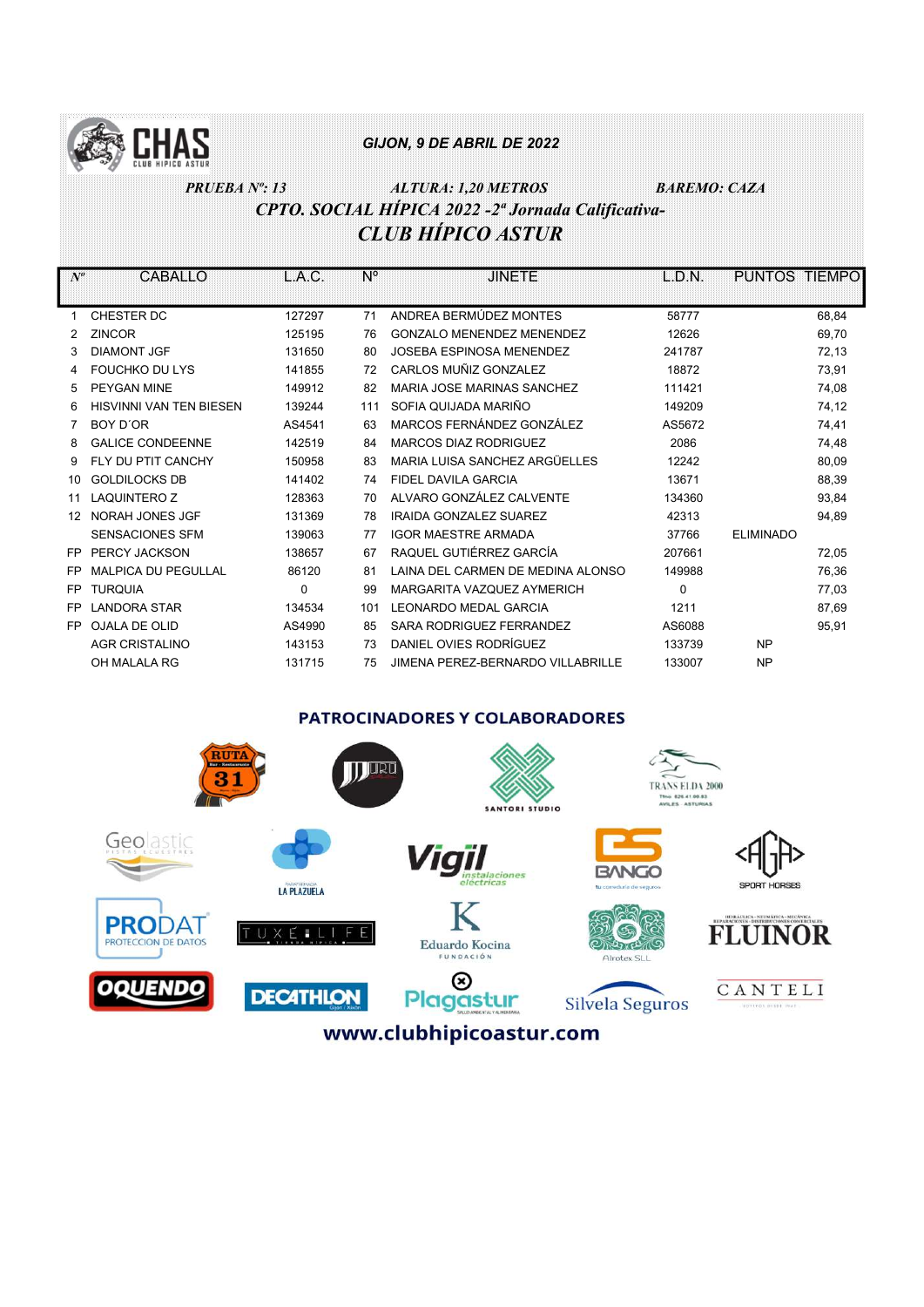

# PRUEBA Nº: 13 ALTURA: 1,20 METROS BAREMO: CAZA CPTO. SOCIAL HÍPICA 2022 -2ª Jornada Calificativa-CLUB HÍPICO ASTUR

| $N^o$ | CABALLO                        | L.A.C.   | N°  | <b>JINETE</b>                     | L.D.N.   | PUNTOS TIEMPO    |       |
|-------|--------------------------------|----------|-----|-----------------------------------|----------|------------------|-------|
|       |                                |          |     |                                   |          |                  |       |
| 1     | CHESTER DC                     | 127297   | 71  | ANDREA BERMÚDEZ MONTES            | 58777    |                  | 68,84 |
|       | <b>ZINCOR</b>                  | 125195   | 76  | <b>GONZALO MENENDEZ MENENDEZ</b>  | 12626    |                  | 69,70 |
| 3     | <b>DIAMONT JGF</b>             | 131650   | 80  | <b>JOSEBA ESPINOSA MENENDEZ</b>   | 241787   |                  | 72,13 |
|       | <b>FOUCHKO DU LYS</b>          | 141855   | 72  | CARLOS MUÑIZ GONZALEZ             | 18872    |                  | 73,91 |
| 5     | <b>PEYGAN MINE</b>             | 149912   | 82  | MARIA JOSE MARINAS SANCHEZ        | 111421   |                  | 74,08 |
| 6     | <b>HISVINNI VAN TEN BIESEN</b> | 139244   | 111 | SOFIA QUIJADA MARIÑO              | 149209   |                  | 74,12 |
|       | BOY D'OR                       | AS4541   | 63  | MARCOS FERNÁNDEZ GONZÁLEZ         | AS5672   |                  | 74,41 |
| 8     | <b>GALICE CONDEENNE</b>        | 142519   | 84  | <b>MARCOS DIAZ RODRIGUEZ</b>      | 2086     |                  | 74,48 |
| 9     | FLY DU PTIT CANCHY             | 150958   | 83  | MARIA LUISA SANCHEZ ARGÜELLES     | 12242    |                  | 80,09 |
| 10    | <b>GOLDILOCKS DB</b>           | 141402   | 74  | FIDEL DAVILA GARCIA               | 13671    |                  | 88,39 |
| 11    | <b>LAQUINTERO Z</b>            | 128363   | 70  | ALVARO GONZÁLEZ CALVENTE          | 134360   |                  | 93,84 |
| 12    | NORAH JONES JGF                | 131369   | 78  | <b>IRAIDA GONZALEZ SUAREZ</b>     | 42313    |                  | 94,89 |
|       | <b>SENSACIONES SFM</b>         | 139063   | 77  | <b>IGOR MAESTRE ARMADA</b>        | 37766    | <b>ELIMINADO</b> |       |
| FP.   | PERCY JACKSON                  | 138657   | 67  | RAQUEL GUTIÉRREZ GARCÍA           | 207661   |                  | 72,05 |
| FP    | <b>MALPICA DU PEGULLAL</b>     | 86120    | 81  | LAINA DEL CARMEN DE MEDINA ALONSO | 149988   |                  | 76,36 |
| FP    | <b>TURQUIA</b>                 | $\Omega$ | 99  | MARGARITA VAZQUEZ AYMERICH        | $\Omega$ |                  | 77,03 |
| FP.   | <b>LANDORA STAR</b>            | 134534   | 101 | <b>I FONARDO MEDAL GARCIA</b>     | 1211     |                  | 87,69 |
| FP.   | <b>OJALA DE OLID</b>           | AS4990   | 85  | SARA RODRIGUEZ FERRANDEZ          | AS6088   |                  | 95,91 |
|       | <b>AGR CRISTALINO</b>          | 143153   | 73  | DANIEL OVIES RODRÍGUEZ            | 133739   | <b>NP</b>        |       |
|       | OH MALALA RG                   | 131715   | 75  | JIMENA PEREZ-BERNARDO VILLABRILLE | 133007   | <b>NP</b>        |       |
|       |                                |          |     |                                   |          |                  |       |

#### **PATROCINADORES Y COLABORADORES**